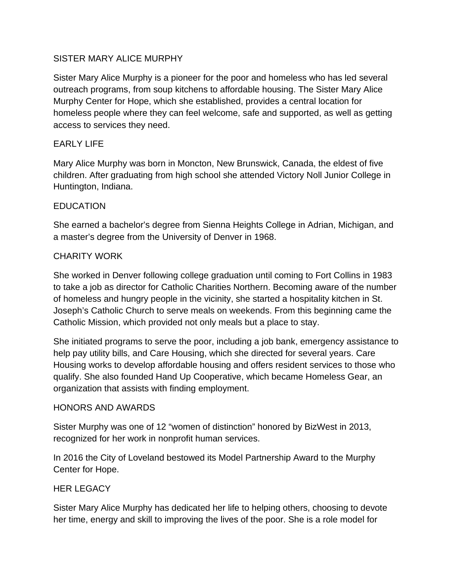## SISTER MARY ALICE MURPHY

Sister Mary Alice Murphy is a pioneer for the poor and homeless who has led several outreach programs, from soup kitchens to affordable housing. The Sister Mary Alice Murphy Center for Hope, which she established, provides a central location for homeless people where they can feel welcome, safe and supported, as well as getting access to services they need.

## EARLY LIFE

Mary Alice Murphy was born in Moncton, New Brunswick, Canada, the eldest of five children. After graduating from high school she attended Victory Noll Junior College in Huntington, Indiana.

## EDUCATION

She earned a bachelor's degree from Sienna Heights College in Adrian, Michigan, and a master's degree from the University of Denver in 1968.

## CHARITY WORK

She worked in Denver following college graduation until coming to Fort Collins in 1983 to take a job as director for Catholic Charities Northern. Becoming aware of the number of homeless and hungry people in the vicinity, she started a hospitality kitchen in St. Joseph's Catholic Church to serve meals on weekends. From this beginning came the Catholic Mission, which provided not only meals but a place to stay.

She initiated programs to serve the poor, including a job bank, emergency assistance to help pay utility bills, and Care Housing, which she directed for several years. Care Housing works to develop affordable housing and offers resident services to those who qualify. She also founded Hand Up Cooperative, which became Homeless Gear, an organization that assists with finding employment.

#### HONORS AND AWARDS

Sister Murphy was one of 12 "women of distinction" honored by BizWest in 2013, recognized for her work in nonprofit human services.

In 2016 the City of Loveland bestowed its Model Partnership Award to the Murphy Center for Hope.

## HER LEGACY

Sister Mary Alice Murphy has dedicated her life to helping others, choosing to devote her time, energy and skill to improving the lives of the poor. She is a role model for